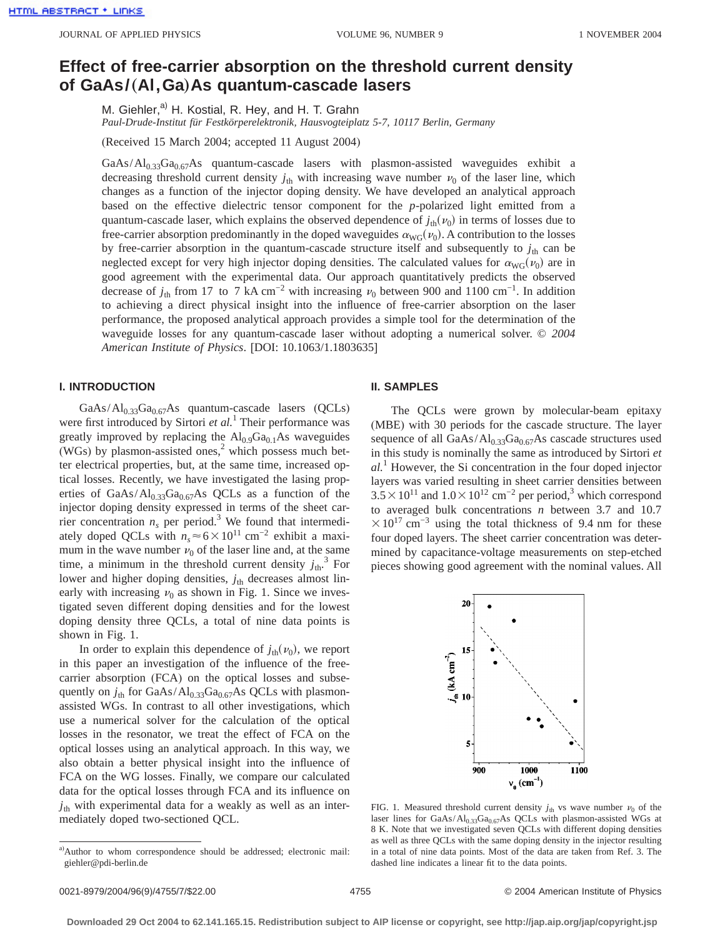# **Effect of free-carrier absorption on the threshold current density of GaAs/**"**Al,Ga**…**As quantum-cascade lasers**

M. Giehler,<sup>a)</sup> H. Kostial, R. Hey, and H. T. Grahn

*Paul-Drude-Institut für Festkörperelektronik, Hausvogteiplatz 5-7, 10117 Berlin, Germany*

(Received 15 March 2004; accepted 11 August 2004)

GaAs/Al<sub>0.33</sub>Ga<sub>0.67</sub>As quantum-cascade lasers with plasmon-assisted waveguides exhibit a decreasing threshold current density  $j_{th}$  with increasing wave number  $\nu_0$  of the laser line, which changes as a function of the injector doping density. We have developed an analytical approach based on the effective dielectric tensor component for the *p*-polarized light emitted from a quantum-cascade laser, which explains the observed dependence of  $j_{th}(\nu_0)$  in terms of losses due to free-carrier absorption predominantly in the doped waveguides  $\alpha_{\text{WG}}(v_0)$ . A contribution to the losses by free-carrier absorption in the quantum-cascade structure itself and subsequently to  $j_{th}$  can be neglected except for very high injector doping densities. The calculated values for  $\alpha_{\rm WG}(\nu_0)$  are in good agreement with the experimental data. Our approach quantitatively predicts the observed decrease of  $j_{th}$  from 17 to 7 kA cm<sup>-2</sup> with increasing  $v_0$  between 900 and 1100 cm<sup>-1</sup>. In addition to achieving a direct physical insight into the influence of free-carrier absorption on the laser performance, the proposed analytical approach provides a simple tool for the determination of the waveguide losses for any quantum-cascade laser without adopting a numerical solver. © *2004 American Institute of Physics*. [DOI: 10.1063/1.1803635]

### **I. INTRODUCTION**

 $GaAs/Al<sub>0.33</sub>Ga<sub>0.67</sub>As quantum-cascade lasers (QCLs)$ were first introduced by Sirtori *et al.*<sup>1</sup> Their performance was greatly improved by replacing the  $Al<sub>0.9</sub>Ga<sub>0.1</sub>As$  waveguides (WGs) by plasmon-assisted ones, $2$  which possess much better electrical properties, but, at the same time, increased optical losses. Recently, we have investigated the lasing properties of  $GaAs/Al<sub>0.33</sub>Ga<sub>0.67</sub>As QCLs as a function of the$ injector doping density expressed in terms of the sheet carrier concentration  $n<sub>s</sub>$  per period.<sup>3</sup> We found that intermediately doped QCLs with  $n<sub>s</sub>$ ≈6×10<sup>11</sup> cm<sup>-2</sup> exhibit a maximum in the wave number  $\nu_0$  of the laser line and, at the same time, a minimum in the threshold current density  $j_{th}$ .<sup>3</sup> For lower and higher doping densities,  $j_{th}$  decreases almost linearly with increasing  $v_0$  as shown in Fig. 1. Since we investigated seven different doping densities and for the lowest doping density three QCLs, a total of nine data points is shown in Fig. 1.

In order to explain this dependence of  $j_{th}(\nu_0)$ , we report in this paper an investigation of the influence of the freecarrier absorption (FCA) on the optical losses and subsequently on  $j_{th}$  for GaAs/Al<sub>0.33</sub>Ga<sub>0.67</sub>As QCLs with plasmonassisted WGs. In contrast to all other investigations, which use a numerical solver for the calculation of the optical losses in the resonator, we treat the effect of FCA on the optical losses using an analytical approach. In this way, we also obtain a better physical insight into the influence of FCA on the WG losses. Finally, we compare our calculated data for the optical losses through FCA and its influence on *j*th with experimental data for a weakly as well as an intermediately doped two-sectioned QCL.

### **II. SAMPLES**

The QCLs were grown by molecular-beam epitaxy (MBE) with 30 periods for the cascade structure. The layer sequence of all  $GaAs/Al<sub>0.33</sub>Ga<sub>0.67</sub>As cascade structures used$ in this study is nominally the same as introduced by Sirtori *et al.*<sup>1</sup> However, the Si concentration in the four doped injector layers was varied resulting in sheet carrier densities between  $3.5\times10^{11}$  and  $1.0\times10^{12}$  cm<sup>-2</sup> per period,<sup>3</sup> which correspond to averaged bulk concentrations *n* between 3.7 and 10.7  $\times$ 10<sup>17</sup> cm<sup>-3</sup> using the total thickness of 9.4 nm for these four doped layers. The sheet carrier concentration was determined by capacitance-voltage measurements on step-etched pieces showing good agreement with the nominal values. All



FIG. 1. Measured threshold current density  $j_{th}$  vs wave number  $\nu_0$  of the laser lines for  $GaAs/Al_{0.33}Ga_{0.67}As$  QCLs with plasmon-assisted WGs at 8 K. Note that we investigated seven QCLs with different doping densities as well as three QCLs with the same doping density in the injector resulting in a total of nine data points. Most of the data are taken from Ref. 3. The dashed line indicates a linear fit to the data points.

a)Author to whom correspondence should be addressed; electronic mail: giehler@pdi-berlin.de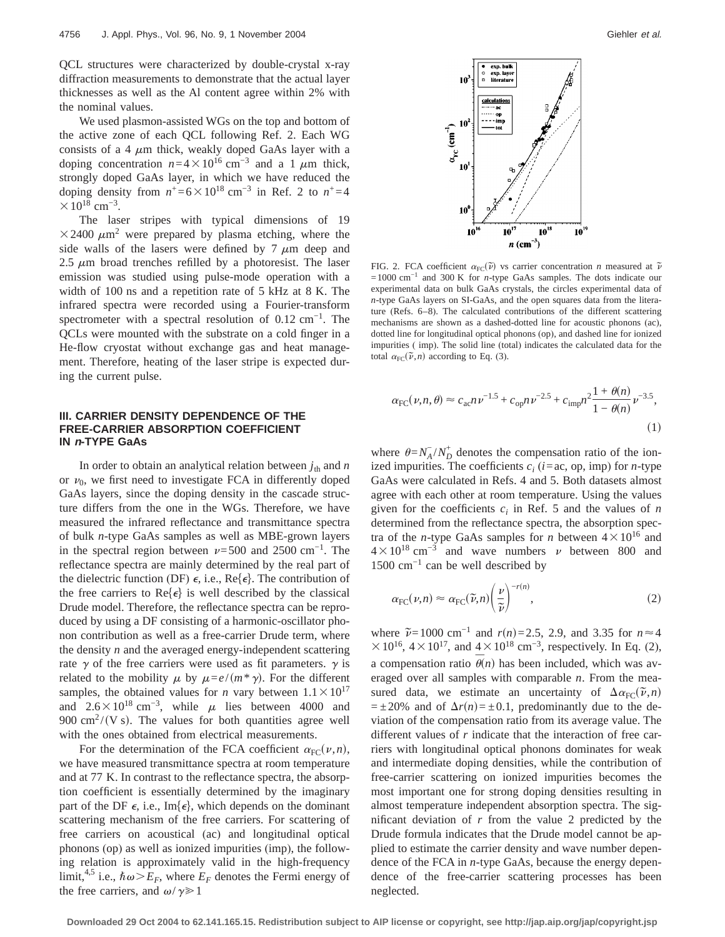QCL structures were characterized by double-crystal x-ray diffraction measurements to demonstrate that the actual layer thicknesses as well as the Al content agree within 2% with the nominal values.

We used plasmon-assisted WGs on the top and bottom of the active zone of each QCL following Ref. 2. Each WG consists of a 4  $\mu$ m thick, weakly doped GaAs layer with a doping concentration  $n=4\times10^{16}$  cm<sup>-3</sup> and a 1  $\mu$ m thick, strongly doped GaAs layer, in which we have reduced the doping density from  $n^+$ =6×10<sup>18</sup> cm<sup>-3</sup> in Ref. 2 to  $n^+$ =4  $\times 10^{18}$  cm<sup>-3</sup>.

The laser stripes with typical dimensions of 19  $\times$  2400  $\mu$ m<sup>2</sup> were prepared by plasma etching, where the side walls of the lasers were defined by  $7 \mu m$  deep and 2.5  $\mu$ m broad trenches refilled by a photoresist. The laser emission was studied using pulse-mode operation with a width of 100 ns and a repetition rate of 5 kHz at 8 K. The infrared spectra were recorded using a Fourier-transform spectrometer with a spectral resolution of 0.12 cm<sup>-1</sup>. The QCLs were mounted with the substrate on a cold finger in a He-flow cryostat without exchange gas and heat management. Therefore, heating of the laser stripe is expected during the current pulse.

# **III. CARRIER DENSITY DEPENDENCE OF THE FREE-CARRIER ABSORPTION COEFFICIENT IN <sup>n</sup>-TYPE GaAs**

In order to obtain an analytical relation between  $j_{th}$  and  $n$ or  $\nu_0$ , we first need to investigate FCA in differently doped GaAs layers, since the doping density in the cascade structure differs from the one in the WGs. Therefore, we have measured the infrared reflectance and transmittance spectra of bulk *n*-type GaAs samples as well as MBE-grown layers in the spectral region between  $\nu=500$  and 2500 cm<sup>-1</sup>. The reflectance spectra are mainly determined by the real part of the dielectric function (DF)  $\epsilon$ , i.e., Re{ $\epsilon$ }. The contribution of the free carriers to Re $\{\epsilon\}$  is well described by the classical Drude model. Therefore, the reflectance spectra can be reproduced by using a DF consisting of a harmonic-oscillator phonon contribution as well as a free-carrier Drude term, where the density *n* and the averaged energy-independent scattering rate  $\gamma$  of the free carriers were used as fit parameters.  $\gamma$  is related to the mobility  $\mu$  by  $\mu = e/(m^* \gamma)$ . For the different samples, the obtained values for *n* vary between  $1.1 \times 10^{17}$ and  $2.6\times10^{18}$  cm<sup>-3</sup>, while  $\mu$  lies between 4000 and 900 cm<sup>2</sup>/(V s). The values for both quantities agree well with the ones obtained from electrical measurements.

For the determination of the FCA coefficient  $\alpha_{\text{FC}}(\nu, n)$ , we have measured transmittance spectra at room temperature and at 77 K. In contrast to the reflectance spectra, the absorption coefficient is essentially determined by the imaginary part of the DF  $\epsilon$ , i.e., Im{ $\epsilon$ }, which depends on the dominant scattering mechanism of the free carriers. For scattering of free carriers on acoustical (ac) and longitudinal optical phonons (op) as well as ionized impurities (imp), the following relation is approximately valid in the high-frequency limit,<sup>4,5</sup> i.e.,  $\hbar \omega > E_F$ , where  $E_F$  denotes the Fermi energy of the free carriers, and  $\omega/\gamma \ge 1$ 



FIG. 2. FCA coefficient  $\alpha_{\text{FC}}(\tilde{\nu})$  vs carrier concentration *n* measured at  $\tilde{\nu}$ =1000 cm−1 and 300 K for *n*-type GaAs samples. The dots indicate our experimental data on bulk GaAs crystals, the circles experimental data of *n*-type GaAs layers on SI-GaAs, and the open squares data from the literature (Refs. 6–8). The calculated contributions of the different scattering mechanisms are shown as a dashed-dotted line for acoustic phonons (ac), dotted line for longitudinal optical phonons (op), and dashed line for ionized impurities ( imp). The solid line (total) indicates the calculated data for the total  $\alpha_{FC}(\tilde{\nu}, n)$  according to Eq. (3).

$$
\alpha_{\rm FC}(\nu, n, \theta) \approx c_{\rm ac} n \nu^{-1.5} + c_{\rm op} n \nu^{-2.5} + c_{\rm imp} n^2 \frac{1 + \theta(n)}{1 - \theta(n)} \nu^{-3.5},\tag{1}
$$

where  $\theta = N_A^2/N_D^+$  denotes the compensation ratio of the ionized impurities. The coefficients  $c_i$  ( $i = ac$ , op, imp) for *n*-type GaAs were calculated in Refs. 4 and 5. Both datasets almost agree with each other at room temperature. Using the values given for the coefficients  $c_i$  in Ref. 5 and the values of  $n$ determined from the reflectance spectra, the absorption spectra of the *n*-type GaAs samples for *n* between  $4 \times 10^{16}$  and  $4\times10^{18}$  cm<sup>-3</sup> and wave numbers v between 800 and 1500 cm−1 can be well described by

$$
\alpha_{\rm FC}(\nu, n) \approx \alpha_{\rm FC}(\widetilde{\nu}, n) \left(\frac{\nu}{\widetilde{\nu}}\right)^{-r(n)},\tag{2}
$$

where  $\tilde{\nu}$ =1000 cm<sup>-1</sup> and *r*(*n*)=2.5, 2.9, and 3.35 for *n* ≈4  $\times 10^{16}$ , 4 $\times 10^{17}$ , and 4 $\times 10^{18}$  cm<sup>-3</sup>, respectively. In Eq. (2), a compensation ratio  $\bar{\theta}(n)$  has been included, which was averaged over all samples with comparable *n*. From the measured data, we estimate an uncertainty of  $\Delta \alpha_{\text{FC}}(\tilde{\nu}, n)$  $= \pm 20\%$  and of  $\Delta r(n) = \pm 0.1$ , predominantly due to the deviation of the compensation ratio from its average value. The different values of *r* indicate that the interaction of free carriers with longitudinal optical phonons dominates for weak and intermediate doping densities, while the contribution of free-carrier scattering on ionized impurities becomes the most important one for strong doping densities resulting in almost temperature independent absorption spectra. The significant deviation of  $r$  from the value 2 predicted by the Drude formula indicates that the Drude model cannot be applied to estimate the carrier density and wave number dependence of the FCA in *n*-type GaAs, because the energy dependence of the free-carrier scattering processes has been neglected.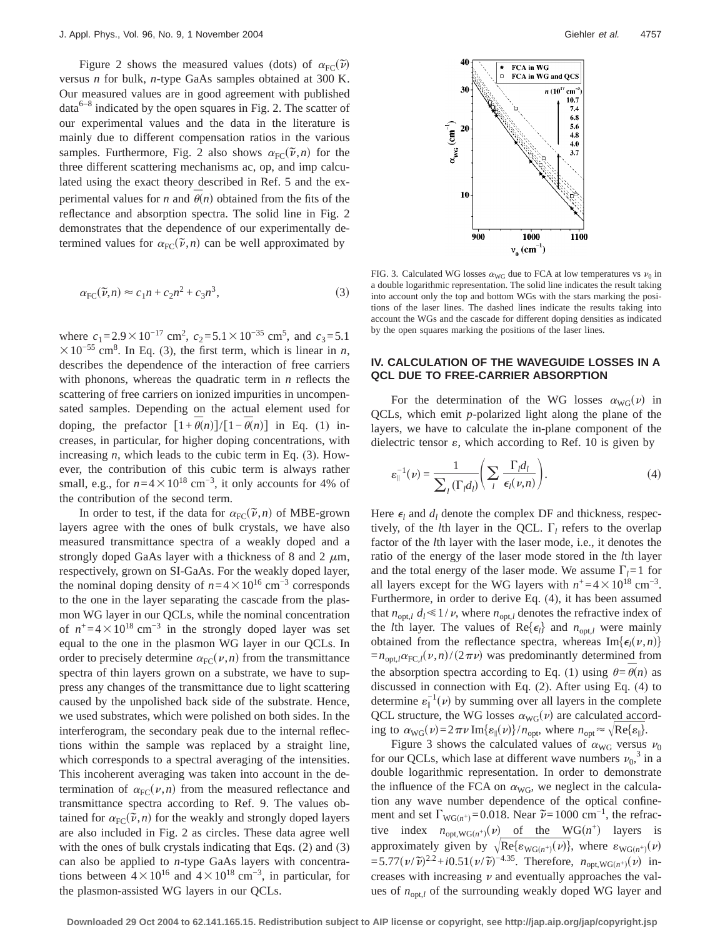Figure 2 shows the measured values (dots) of  $\alpha_{\text{FC}}(\tilde{v})$ versus *n* for bulk, *n*-type GaAs samples obtained at 300 K. Our measured values are in good agreement with published  $data<sup>6–8</sup>$  indicated by the open squares in Fig. 2. The scatter of our experimental values and the data in the literature is mainly due to different compensation ratios in the various samples. Furthermore, Fig. 2 also shows  $\alpha_{\text{FC}}(\tilde{\nu}, n)$  for the three different scattering mechanisms ac, op, and imp calculated using the exact theory described in Ref. 5 and the experimental values for *n* and  $\overline{\theta}(n)$  obtained from the fits of the reflectance and absorption spectra. The solid line in Fig. 2 demonstrates that the dependence of our experimentally determined values for  $\alpha_{FC}(\vec{\nu}, n)$  can be well approximated by

$$
\alpha_{\rm FC}(\tilde{\nu}, n) \approx c_1 n + c_2 n^2 + c_3 n^3,\tag{3}
$$

where  $c_1 = 2.9 \times 10^{-17}$  cm<sup>2</sup>,  $c_2 = 5.1 \times 10^{-35}$  cm<sup>5</sup>, and  $c_3 = 5.1$  $\times$ 10<sup>-55</sup> cm<sup>8</sup>. In Eq. (3), the first term, which is linear in *n*, describes the dependence of the interaction of free carriers with phonons, whereas the quadratic term in *n* reflects the scattering of free carriers on ionized impurities in uncompensated samples. Depending on the actual element used for doping, the prefactor  $[1 + \overline{\theta}(n)]/[1 - \overline{\theta}(n)]$  in Eq. (1) increases, in particular, for higher doping concentrations, with increasing *n*, which leads to the cubic term in Eq. (3). However, the contribution of this cubic term is always rather small, e.g., for  $n=4\times10^{18}$  cm<sup>-3</sup>, it only accounts for 4% of the contribution of the second term.

In order to test, if the data for  $\alpha_{\text{FC}}(\tilde{\nu}, n)$  of MBE-grown layers agree with the ones of bulk crystals, we have also measured transmittance spectra of a weakly doped and a strongly doped GaAs layer with a thickness of 8 and 2  $\mu$ m, respectively, grown on SI-GaAs. For the weakly doped layer, the nominal doping density of  $n=4\times10^{16}$  cm<sup>-3</sup> corresponds to the one in the layer separating the cascade from the plasmon WG layer in our QCLs, while the nominal concentration of  $n^+$  =4 × 10<sup>18</sup> cm<sup>-3</sup> in the strongly doped layer was set equal to the one in the plasmon WG layer in our QCLs. In order to precisely determine  $\alpha_{\text{FC}}(\nu,n)$  from the transmittance spectra of thin layers grown on a substrate, we have to suppress any changes of the transmittance due to light scattering caused by the unpolished back side of the substrate. Hence, we used substrates, which were polished on both sides. In the interferogram, the secondary peak due to the internal reflections within the sample was replaced by a straight line, which corresponds to a spectral averaging of the intensities. This incoherent averaging was taken into account in the determination of  $\alpha_{\text{FC}}(\nu,n)$  from the measured reflectance and transmittance spectra according to Ref. 9. The values obtained for  $\alpha_{\text{FC}}(\vec{\nu}, n)$  for the weakly and strongly doped layers are also included in Fig. 2 as circles. These data agree well with the ones of bulk crystals indicating that Eqs. (2) and (3) can also be applied to *n*-type GaAs layers with concentrations between  $4\times10^{16}$  and  $4\times10^{18}$  cm<sup>-3</sup>, in particular, for the plasmon-assisted WG layers in our QCLs.



FIG. 3. Calculated WG losses  $\alpha_{\text{WG}}$  due to FCA at low temperatures vs  $\nu_0$  in a double logarithmic representation. The solid line indicates the result taking into account only the top and bottom WGs with the stars marking the positions of the laser lines. The dashed lines indicate the results taking into account the WGs and the cascade for different doping densities as indicated by the open squares marking the positions of the laser lines.

## **IV. CALCULATION OF THE WAVEGUIDE LOSSES IN A QCL DUE TO FREE-CARRIER ABSORPTION**

For the determination of the WG losses  $\alpha_{\text{WG}}(v)$  in QCLs, which emit *p*-polarized light along the plane of the layers, we have to calculate the in-plane component of the dielectric tensor  $\varepsilon$ , which according to Ref. 10 is given by

$$
\varepsilon_{\parallel}^{-1}(\nu) = \frac{1}{\sum_{l} (\Gamma_l d_l)} \left( \sum_{l} \frac{\Gamma_l d_l}{\epsilon_l(\nu, n)} \right). \tag{4}
$$

Here  $\epsilon_l$  and  $d_l$  denote the complex DF and thickness, respectively, of the *l*th layer in the QCL.  $\Gamma_l$  refers to the overlap factor of the *l*th layer with the laser mode, i.e., it denotes the ratio of the energy of the laser mode stored in the *l*th layer and the total energy of the laser mode. We assume  $\Gamma_l = 1$  for all layers except for the WG layers with  $n^+$  =4  $\times$  10<sup>18</sup> cm<sup>-3</sup>. Furthermore, in order to derive Eq. (4), it has been assumed that  $n_{\text{opt},l} d_l \leq 1/v$ , where  $n_{\text{opt},l}$  denotes the refractive index of the *l*th layer. The values of  $\text{Re}\{\epsilon_l\}$  and  $n_{\text{opt},l}$  were mainly obtained from the reflectance spectra, whereas  $Im{\lbrace \epsilon_l(\nu, n) \rbrace}$  $=n_{opt,l}\alpha_{FC,l}(\nu,n)/(2\pi\nu)$  was predominantly determined from the absorption spectra according to Eq. (1) using  $\theta = \overline{\theta}(n)$  as discussed in connection with Eq. (2). After using Eq. (4) to determine  $\varepsilon_{\parallel}^{-1}(\nu)$  by summing over all layers in the complete QCL structure, the WG losses  $\alpha_{\text{WG}}(\nu)$  are calculated according to  $\alpha_{\text{WG}}(\nu) = 2\pi \nu \text{Im}\{\varepsilon_{\parallel}(\nu)\}/n_{\text{opt}}$ , where  $n_{\text{opt}} \approx \sqrt{\text{Re}\{\varepsilon_{\parallel}\}}$ .

Figure 3 shows the calculated values of  $\alpha_{\text{WG}}$  versus  $\nu_0$ for our QCLs, which lase at different wave numbers  $v_0$ ,  $\frac{3}{3}$  in a double logarithmic representation. In order to demonstrate the influence of the FCA on  $\alpha_{\text{WG}}$ , we neglect in the calculation any wave number dependence of the optical confinement and set  $\Gamma_{\text{WG}(n^+)}$ =0.018. Near  $\tilde{\nu}$ =1000 cm<sup>-1</sup>, the refractive index  $n_{\text{opt,WG}(n^+)}(\nu)$  of the WG( $n^+$ ) layers is approximately given by  $\sqrt{\text{Re}\{\varepsilon_{\text{WG}(n^+)}(\nu)\}}$ , where  $\varepsilon_{\text{WG}(n^+)}(\nu)$  $=5.77(\nu/\tilde{\nu})^{2.2}+i0.51(\nu/\tilde{\nu})^{-4.35}$ . Therefore,  $n_{\text{opt,WG}(n^{+})}(\nu)$  increases with increasing  $\nu$  and eventually approaches the values of  $n_{opt,l}$  of the surrounding weakly doped WG layer and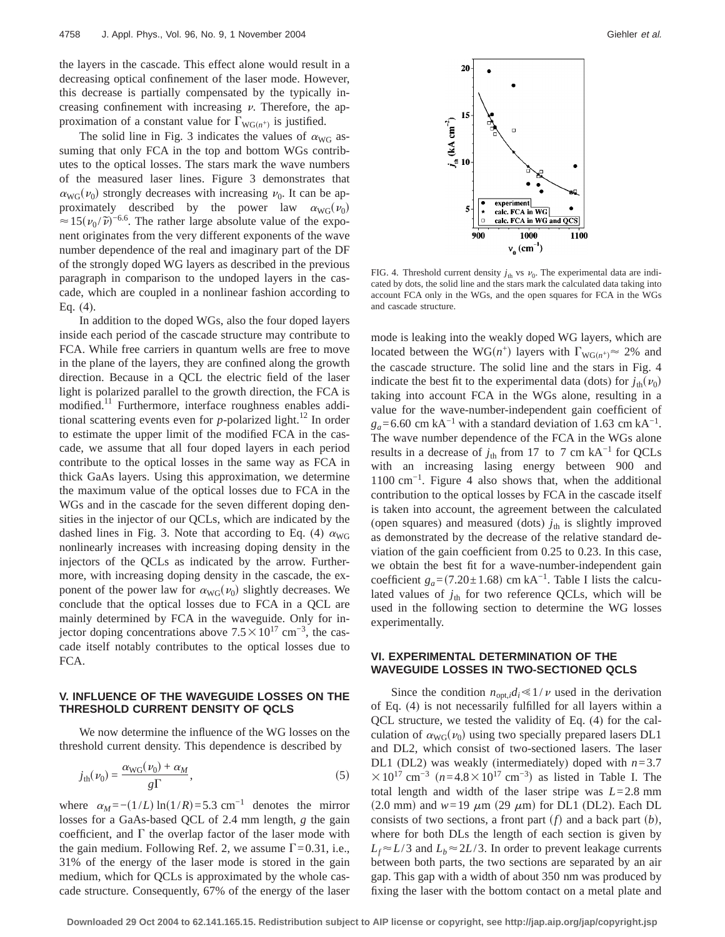the layers in the cascade. This effect alone would result in a decreasing optical confinement of the laser mode. However, this decrease is partially compensated by the typically increasing confinement with increasing  $\nu$ . Therefore, the approximation of a constant value for  $\Gamma_{\text{WG}(n^+)}$  is justified.

The solid line in Fig. 3 indicates the values of  $\alpha_{\text{WG}}$  assuming that only FCA in the top and bottom WGs contributes to the optical losses. The stars mark the wave numbers of the measured laser lines. Figure 3 demonstrates that  $\alpha_{\text{WG}}(\nu_0)$  strongly decreases with increasing  $\nu_0$ . It can be approximately described by the power law  $\alpha_{\text{WG}}(v_0)$  $\approx 15(v_0/\tilde{\nu})^{-6.6}$ . The rather large absolute value of the exponent originates from the very different exponents of the wave number dependence of the real and imaginary part of the DF of the strongly doped WG layers as described in the previous paragraph in comparison to the undoped layers in the cascade, which are coupled in a nonlinear fashion according to Eq. (4).

In addition to the doped WGs, also the four doped layers inside each period of the cascade structure may contribute to FCA. While free carriers in quantum wells are free to move in the plane of the layers, they are confined along the growth direction. Because in a QCL the electric field of the laser light is polarized parallel to the growth direction, the FCA is modified.<sup>11</sup> Furthermore, interface roughness enables additional scattering events even for  $p$ -polarized light.<sup>12</sup> In order to estimate the upper limit of the modified FCA in the cascade, we assume that all four doped layers in each period contribute to the optical losses in the same way as FCA in thick GaAs layers. Using this approximation, we determine the maximum value of the optical losses due to FCA in the WGs and in the cascade for the seven different doping densities in the injector of our QCLs, which are indicated by the dashed lines in Fig. 3. Note that according to Eq. (4)  $\alpha_{\text{WG}}$ nonlinearly increases with increasing doping density in the injectors of the QCLs as indicated by the arrow. Furthermore, with increasing doping density in the cascade, the exponent of the power law for  $\alpha_{\text{WG}}(\nu_0)$  slightly decreases. We conclude that the optical losses due to FCA in a QCL are mainly determined by FCA in the waveguide. Only for injector doping concentrations above  $7.5 \times 10^{17}$  cm<sup>-3</sup>, the cascade itself notably contributes to the optical losses due to FCA.

# **V. INFLUENCE OF THE WAVEGUIDE LOSSES ON THE THRESHOLD CURRENT DENSITY OF QCLS**

We now determine the influence of the WG losses on the threshold current density. This dependence is described by

$$
j_{\text{th}}(\nu_0) = \frac{\alpha_{\text{WG}}(\nu_0) + \alpha_M}{g\Gamma},\tag{5}
$$

where  $\alpha_M = -(1/L) \ln(1/R) = 5.3 \text{ cm}^{-1}$  denotes the mirror losses for a GaAs-based QCL of 2.4 mm length, *g* the gain coefficient, and  $\Gamma$  the overlap factor of the laser mode with the gain medium. Following Ref. 2, we assume  $\Gamma$ =0.31, i.e., 31% of the energy of the laser mode is stored in the gain medium, which for QCLs is approximated by the whole cascade structure. Consequently, 67% of the energy of the laser



FIG. 4. Threshold current density  $j_{th}$  vs  $v_0$ . The experimental data are indicated by dots, the solid line and the stars mark the calculated data taking into account FCA only in the WGs, and the open squares for FCA in the WGs and cascade structure.

mode is leaking into the weakly doped WG layers, which are located between the WG( $n^+$ ) layers with  $\Gamma_{\text{WG}(n^+)} \approx 2\%$  and the cascade structure. The solid line and the stars in Fig. 4 indicate the best fit to the experimental data (dots) for  $j_{th}(\nu_0)$ taking into account FCA in the WGs alone, resulting in a value for the wave-number-independent gain coefficient of  $g_a$ =6.60 cm kA<sup>-1</sup> with a standard deviation of 1.63 cm kA<sup>-1</sup>. The wave number dependence of the FCA in the WGs alone results in a decrease of  $j_{th}$  from 17 to 7 cm kA<sup>-1</sup> for QCLs with an increasing lasing energy between 900 and  $1100 \text{ cm}^{-1}$ . Figure 4 also shows that, when the additional contribution to the optical losses by FCA in the cascade itself is taken into account, the agreement between the calculated (open squares) and measured (dots)  $j_{th}$  is slightly improved as demonstrated by the decrease of the relative standard deviation of the gain coefficient from 0.25 to 0.23. In this case, we obtain the best fit for a wave-number-independent gain coefficient  $g_a = (7.20 \pm 1.68)$  cm kA<sup>-1</sup>. Table I lists the calculated values of  $j_{\text{th}}$  for two reference QCLs, which will be used in the following section to determine the WG losses experimentally.

# **VI. EXPERIMENTAL DETERMINATION OF THE WAVEGUIDE LOSSES IN TWO-SECTIONED QCLS**

Since the condition  $n_{opt,i}d_i \leq 1/\nu$  used in the derivation of Eq. (4) is not necessarily fulfilled for all layers within a QCL structure, we tested the validity of Eq. (4) for the calculation of  $\alpha_{\text{WG}}(\nu_0)$  using two specially prepared lasers DL1 and DL2, which consist of two-sectioned lasers. The laser DL1 (DL2) was weakly (intermediately) doped with *n*=3.7  $\times$ 10<sup>17</sup> cm<sup>-3</sup> (n=4.8 × 10<sup>17</sup> cm<sup>-3</sup>) as listed in Table I. The total length and width of the laser stripe was *L*=2.8 mm  $(2.0 \text{ mm})$  and  $w=19 \mu \text{m}$  (29  $\mu$ m) for DL1 (DL2). Each DL consists of two sections, a front part  $(f)$  and a back part  $(b)$ , where for both DLs the length of each section is given by  $L_f \approx L/3$  and  $L_b \approx 2L/3$ . In order to prevent leakage currents between both parts, the two sections are separated by an air gap. This gap with a width of about 350 nm was produced by fixing the laser with the bottom contact on a metal plate and

**Downloaded 29 Oct 2004 to 62.141.165.15. Redistribution subject to AIP license or copyright, see http://jap.aip.org/jap/copyright.jsp**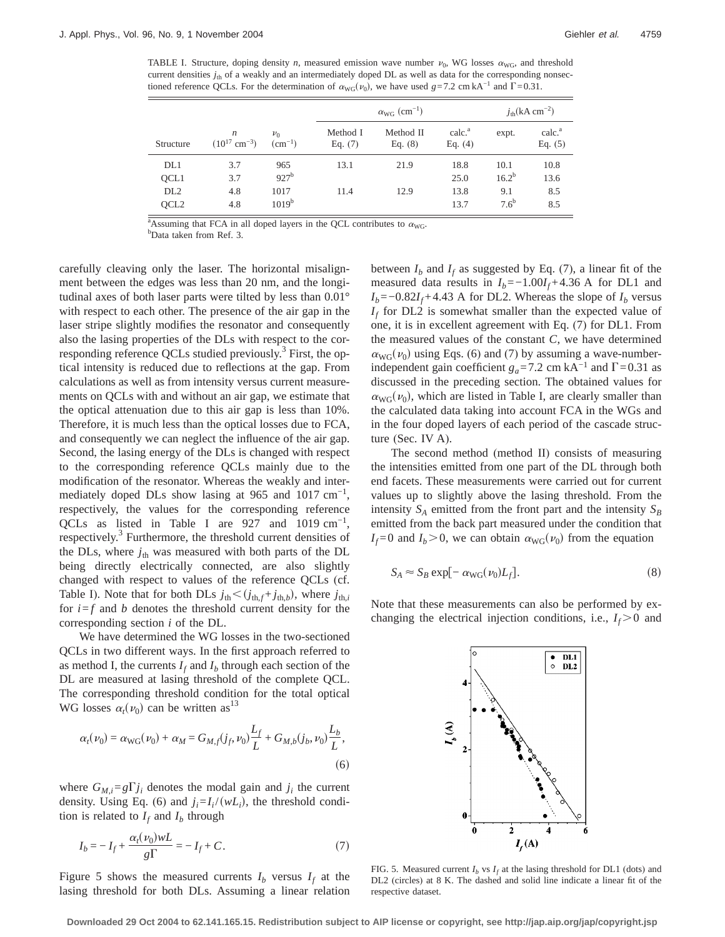TABLE I. Structure, doping density *n*, measured emission wave number  $\nu_0$ , WG losses  $\alpha_{\text{WO}}$ , and threshold current densities  $j_{th}$  of a weakly and an intermediately doped DL as well as data for the corresponding nonsectioned reference QCLs. For the determination of  $\alpha_{\text{WG}}(v_0)$ , we have used *g*=7.2 cm kA<sup>-1</sup> and  $\Gamma$ =0.31.

|                  |                                                   |                        | $\alpha_{\text{WG}}$ (cm <sup>-1</sup> ) |                        |                                 | $j_{\text{th}}$ (kA cm <sup>-2</sup> ) |                                 |
|------------------|---------------------------------------------------|------------------------|------------------------------------------|------------------------|---------------------------------|----------------------------------------|---------------------------------|
| Structure        | $\boldsymbol{n}$<br>$(10^{17}$ cm <sup>-3</sup> ) | $\nu_0$<br>$(cm^{-1})$ | Method I<br>Eq. $(7)$                    | Method II<br>Eq. $(8)$ | calc. <sup>a</sup><br>Eq. $(4)$ | expt.                                  | calc. <sup>a</sup><br>Eq. $(5)$ |
| DL1              | 3.7                                               | 965                    | 13.1                                     | 21.9                   | 18.8                            | 10.1                                   | 10.8                            |
| QCL1             | 3.7                                               | $927^b$                |                                          |                        | 25.0                            | $16.2^{b}$                             | 13.6                            |
| DL <sub>2</sub>  | 4.8                                               | 1017                   | 11.4                                     | 12.9                   | 13.8                            | 9.1                                    | 8.5                             |
| QCL <sub>2</sub> | 4.8                                               | $1019^{\rm b}$         |                                          |                        | 13.7                            | $7.6^{\mathrm{b}}$                     | 8.5                             |

<sup>a</sup>Assuming that FCA in all doped layers in the QCL contributes to  $\alpha_{\text{WG}}$ .

<sup>b</sup>Data taken from Ref. 3.

carefully cleaving only the laser. The horizontal misalignment between the edges was less than 20 nm, and the longitudinal axes of both laser parts were tilted by less than 0.01° with respect to each other. The presence of the air gap in the laser stripe slightly modifies the resonator and consequently also the lasing properties of the DLs with respect to the corresponding reference QCLs studied previously.<sup>3</sup> First, the optical intensity is reduced due to reflections at the gap. From calculations as well as from intensity versus current measurements on QCLs with and without an air gap, we estimate that the optical attenuation due to this air gap is less than 10%. Therefore, it is much less than the optical losses due to FCA, and consequently we can neglect the influence of the air gap. Second, the lasing energy of the DLs is changed with respect to the corresponding reference QCLs mainly due to the modification of the resonator. Whereas the weakly and intermediately doped DLs show lasing at 965 and 1017 cm<sup>-1</sup>, respectively, the values for the corresponding reference QCLs as listed in Table I are  $927$  and  $1019 \text{ cm}^{-1}$ , respectively.<sup>3</sup> Furthermore, the threshold current densities of the DLs, where  $j_{th}$  was measured with both parts of the DL being directly electrically connected, are also slightly changed with respect to values of the reference QCLs (cf. Table I). Note that for both DLs  $j_{th} < (j_{th,f} + j_{th,b})$ , where  $j_{th,i}$ for  $i = f$  and *b* denotes the threshold current density for the corresponding section *i* of the DL.

We have determined the WG losses in the two-sectioned QCLs in two different ways. In the first approach referred to as method I, the currents  $I_f$  and  $I_b$  through each section of the DL are measured at lasing threshold of the complete QCL. The corresponding threshold condition for the total optical WG losses  $\alpha_t(\nu_0)$  can be written as<sup>13</sup>

$$
\alpha_t(\nu_0) = \alpha_{\text{WG}}(\nu_0) + \alpha_M = G_{M,f}(j_f, \nu_0) \frac{L_f}{L} + G_{M,b}(j_b, \nu_0) \frac{L_b}{L},\tag{6}
$$

where  $G_{M,i}=g\Gamma j_i$  denotes the modal gain and  $j_i$  the current density. Using Eq. (6) and  $j_i = I_i/(w_i)$ , the threshold condition is related to  $I_f$  and  $I_b$  through

$$
I_b = -I_f + \frac{\alpha_t(\nu_0)wL}{g\Gamma} = -I_f + C.
$$
\n(7)

Figure 5 shows the measured currents  $I_b$  versus  $I_f$  at the lasing threshold for both DLs. Assuming a linear relation between  $I_b$  and  $I_f$  as suggested by Eq. (7), a linear fit of the measured data results in  $I_b$ =−1.00 $I_f$ +4.36 A for DL1 and  $I_b$ =−0.82 $I_f$ +4.43 A for DL2. Whereas the slope of  $I_b$  versus *If* for DL2 is somewhat smaller than the expected value of one, it is in excellent agreement with Eq. (7) for DL1. From the measured values of the constant *C*, we have determined  $\alpha_{\text{WG}}(\nu_0)$  using Eqs. (6) and (7) by assuming a wave-numberindependent gain coefficient  $g_a$ =7.2 cm kA<sup>-1</sup> and  $\Gamma$ =0.31 as discussed in the preceding section. The obtained values for  $\alpha_{\text{WG}}(\nu_0)$ , which are listed in Table I, are clearly smaller than the calculated data taking into account FCA in the WGs and in the four doped layers of each period of the cascade structure (Sec. IV A).

The second method (method II) consists of measuring the intensities emitted from one part of the DL through both end facets. These measurements were carried out for current values up to slightly above the lasing threshold. From the intensity  $S_A$  emitted from the front part and the intensity  $S_B$ emitted from the back part measured under the condition that  $I_f = 0$  and  $I_b > 0$ , we can obtain  $\alpha_{\text{WG}}(\nu_0)$  from the equation

$$
S_A \approx S_B \exp[-\alpha_{\rm WG}(\nu_0)L_f]. \tag{8}
$$

Note that these measurements can also be performed by exchanging the electrical injection conditions, i.e.,  $I_f$  > 0 and



FIG. 5. Measured current  $I_b$  vs  $I_f$  at the lasing threshold for DL1 (dots) and DL2 (circles) at 8 K. The dashed and solid line indicate a linear fit of the respective dataset.

**Downloaded 29 Oct 2004 to 62.141.165.15. Redistribution subject to AIP license or copyright, see http://jap.aip.org/jap/copyright.jsp**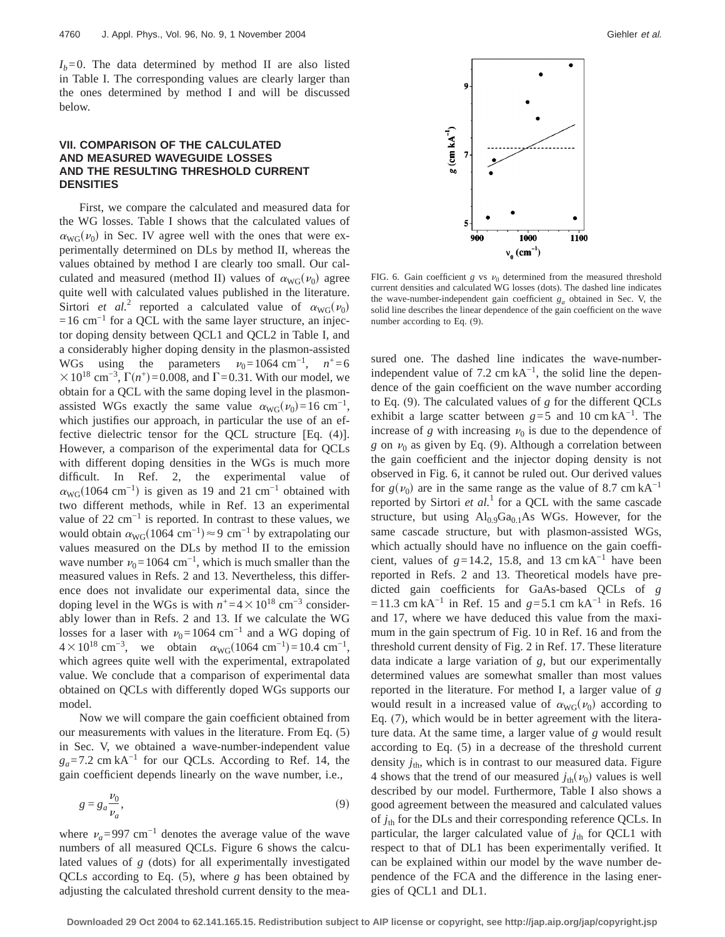$I_b=0$ . The data determined by method II are also listed in Table I. The corresponding values are clearly larger than the ones determined by method I and will be discussed below.

# **VII. COMPARISON OF THE CALCULATED AND MEASURED WAVEGUIDE LOSSES AND THE RESULTING THRESHOLD CURRENT DENSITIES**

First, we compare the calculated and measured data for the WG losses. Table I shows that the calculated values of  $\alpha_{\text{WG}}(\nu_0)$  in Sec. IV agree well with the ones that were experimentally determined on DLs by method II, whereas the values obtained by method I are clearly too small. Our calculated and measured (method II) values of  $\alpha_{\text{WG}}(v_0)$  agree quite well with calculated values published in the literature. Sirtori *et al.*<sup>2</sup> reported a calculated value of  $\alpha_{\text{WG}}(v_0)$  $=16$  cm<sup>-1</sup> for a QCL with the same layer structure, an injector doping density between QCL1 and QCL2 in Table I, and a considerably higher doping density in the plasmon-assisted WGs using the parameters  $v_0=1064$  cm<sup>-1</sup>,  $n^+$  =6  $\times$  10<sup>18</sup> cm<sup>-3</sup>,  $\Gamma(n^+)$ =0.008, and  $\Gamma$ =0.31. With our model, we obtain for a QCL with the same doping level in the plasmonassisted WGs exactly the same value  $\alpha_{\text{WG}}(v_0)=16 \text{ cm}^{-1}$ , which justifies our approach, in particular the use of an effective dielectric tensor for the QCL structure [Eq. (4)]. However, a comparison of the experimental data for QCLs with different doping densities in the WGs is much more difficult. In Ref. 2, the experimental value of  $\alpha_{\text{WG}}(1064 \text{ cm}^{-1})$  is given as 19 and 21 cm<sup>-1</sup> obtained with two different methods, while in Ref. 13 an experimental value of  $22 \text{ cm}^{-1}$  is reported. In contrast to these values, we would obtain  $\alpha_{\text{WG}}(1064 \text{ cm}^{-1}) \approx 9 \text{ cm}^{-1}$  by extrapolating our values measured on the DLs by method II to the emission wave number  $v_0$ =1064 cm<sup>-1</sup>, which is much smaller than the measured values in Refs. 2 and 13. Nevertheless, this difference does not invalidate our experimental data, since the doping level in the WGs is with  $n^+$  =4 × 10<sup>18</sup> cm<sup>-3</sup> considerably lower than in Refs. 2 and 13. If we calculate the WG losses for a laser with  $v_0$ =1064 cm<sup>-1</sup> and a WG doping of  $4 \times 10^{18}$  cm<sup>-3</sup>, we obtain  $\alpha_{\text{WG}}(1064 \text{ cm}^{-1}) = 10.4 \text{ cm}^{-1}$ , which agrees quite well with the experimental, extrapolated value. We conclude that a comparison of experimental data obtained on QCLs with differently doped WGs supports our model.

Now we will compare the gain coefficient obtained from our measurements with values in the literature. From Eq. (5) in Sec. V, we obtained a wave-number-independent value  $g_a$ =7.2 cm kA<sup>-1</sup> for our QCLs. According to Ref. 14, the gain coefficient depends linearly on the wave number, i.e.,

$$
g = g_a \frac{\nu_0}{\nu_a},\tag{9}
$$

where  $v_a$ =997 cm<sup>-1</sup> denotes the average value of the wave numbers of all measured QCLs. Figure 6 shows the calculated values of *g* (dots) for all experimentally investigated QCLs according to Eq. (5), where *g* has been obtained by adjusting the calculated threshold current density to the mea-



FIG. 6. Gain coefficient *g* vs  $\nu_0$  determined from the measured threshold current densities and calculated WG losses (dots). The dashed line indicates the wave-number-independent gain coefficient  $g_a$  obtained in Sec. V, the solid line describes the linear dependence of the gain coefficient on the wave number according to Eq. (9).

sured one. The dashed line indicates the wave-numberindependent value of  $7.2 \text{ cm} \text{ kA}^{-1}$ , the solid line the dependence of the gain coefficient on the wave number according to Eq. (9). The calculated values of *g* for the different QCLs exhibit a large scatter between  $g=5$  and 10 cm kA<sup>-1</sup>. The increase of *g* with increasing  $\nu_0$  is due to the dependence of *g* on  $\nu_0$  as given by Eq. (9). Although a correlation between the gain coefficient and the injector doping density is not observed in Fig. 6, it cannot be ruled out. Our derived values for  $g(\nu_0)$  are in the same range as the value of 8.7 cm kA<sup>-1</sup> reported by Sirtori *et al.*<sup>1</sup> for a QCL with the same cascade structure, but using  $Al_0.9Ga_0.1As$  WGs. However, for the same cascade structure, but with plasmon-assisted WGs, which actually should have no influence on the gain coefficient, values of  $g=14.2$ , 15.8, and 13 cm kA<sup>-1</sup> have been reported in Refs. 2 and 13. Theoretical models have predicted gain coefficients for GaAs-based QCLs of *g* =11.3 cm kA<sup>-1</sup> in Ref. 15 and  $g=5.1$  cm kA<sup>-1</sup> in Refs. 16 and 17, where we have deduced this value from the maximum in the gain spectrum of Fig. 10 in Ref. 16 and from the threshold current density of Fig. 2 in Ref. 17. These literature data indicate a large variation of *g*, but our experimentally determined values are somewhat smaller than most values reported in the literature. For method I, a larger value of *g* would result in a increased value of  $\alpha_{\text{WG}}(\nu_0)$  according to Eq. (7), which would be in better agreement with the literature data. At the same time, a larger value of *g* would result according to Eq. (5) in a decrease of the threshold current density  $j_{\text{th}}$ , which is in contrast to our measured data. Figure 4 shows that the trend of our measured  $j_{th}(\nu_0)$  values is well described by our model. Furthermore, Table I also shows a good agreement between the measured and calculated values of *j*th for the DLs and their corresponding reference QCLs. In particular, the larger calculated value of  $j_{th}$  for QCL1 with respect to that of DL1 has been experimentally verified. It can be explained within our model by the wave number dependence of the FCA and the difference in the lasing energies of QCL1 and DL1.